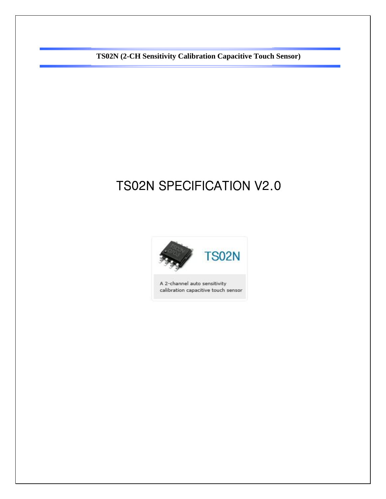# TS02N SPECIFICATION V2.0

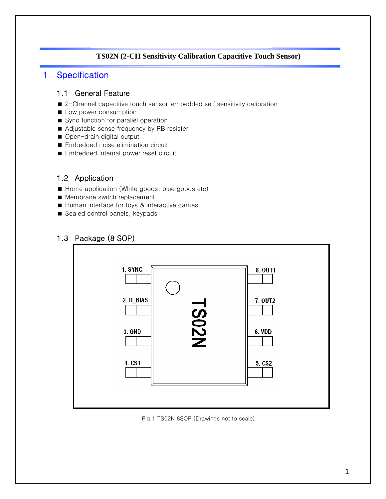### 1 Specification

### 1.1 General Feature

- 2-Channel capacitive touch sensor embedded self sensitivity calibration
- **Low power consumption**
- Sync function for parallel operation
- Adjustable sense frequency by RB resister
- Open-drain digital output
- **Embedded noise elimination circuit**
- **Embedded Internal power reset circuit**

### 1.2 Application

- Home application (White goods, blue goods etc)
- **Membrane switch replacement**
- Human interface for toys & interactive games
- Sealed control panels, keypads

### 1.3 Package (8 SOP)



Fig.1 TS02N 8SOP (Drawings not to scale)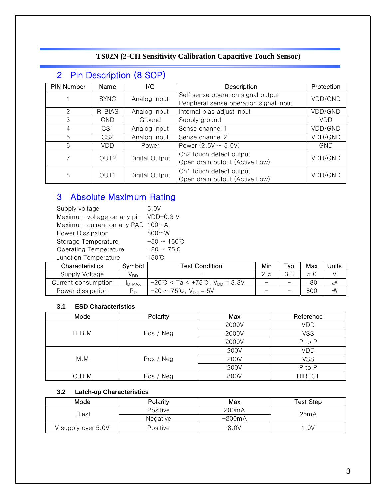# 2 Pin Description (8 SOP)

| <b>PIN Number</b> | Name             | I/O            | Description                             | Protection                          |  |
|-------------------|------------------|----------------|-----------------------------------------|-------------------------------------|--|
|                   | <b>SYNC</b>      | Analog Input   | Self sense operation signal output      | VDD/GND                             |  |
|                   |                  |                | Peripheral sense operation signal input |                                     |  |
| 2                 | R_BIAS           | Analog Input   | Internal bias adjust input              | VDD/GND                             |  |
| 3                 | GND.             | Ground         | Supply ground                           | VDD                                 |  |
| 4                 | CS <sub>1</sub>  | Analog Input   | Sense channel 1                         | VDD/GND                             |  |
| 5                 | CS2              | Analog Input   | Sense channel 2                         | VDD/GND                             |  |
| 6                 | VDD              | Power          | Power $(2.5V \sim 5.0V)$                | <b>GND</b>                          |  |
|                   | OUT <sub>2</sub> |                |                                         | Ch <sub>2</sub> touch detect output |  |
|                   |                  | Digital Output | Open drain output (Active Low)          | VDD/GND                             |  |
|                   | OUT <sub>1</sub> |                | Ch1 touch detect output                 | VDD/GND                             |  |
| 8                 |                  | Digital Output | Open drain output (Active Low)          |                                     |  |

# 3 Absolute Maximum Rating

| Supply voltage                   | 5.0V                     |  |  |
|----------------------------------|--------------------------|--|--|
| Maximum voltage on any pin       | $VDD+0.3 V$              |  |  |
| Maximum current on any PAD 100mA |                          |  |  |
| Power Dissipation                | 800mW                    |  |  |
| Storage Temperature              | $-50 \sim 150 \degree C$ |  |  |
| Operating Temperature            | $-20 \sim 75^{\circ}C$   |  |  |
| Junction Temperature             | $150^{\circ}$ C          |  |  |

| <b>Test Condition</b><br><b>Characteristics</b><br>Symbol |               | Min                                                            | тур                      | Max | Units |    |
|-----------------------------------------------------------|---------------|----------------------------------------------------------------|--------------------------|-----|-------|----|
| Supply Voltage                                            | V DD.         |                                                                | 2.5                      |     | .5 C  |    |
| Current consumption                                       | <b>ID MAX</b> | $-20^{\circ}$ C < Ta < $+75^{\circ}$ C, V <sub>DD</sub> = 3.3V | $\overline{\phantom{0}}$ | –   | 180   | μА |
| Power dissipation                                         |               | $-20 \sim 75^{\circ}$ C, V <sub>DD</sub> = 5V                  |                          |     | 800   | mW |

#### **3.1 ESD Characteristics**

| Mode  | Polarity  | Max   | Reference     |
|-------|-----------|-------|---------------|
|       |           | 2000V | <b>VDD</b>    |
| H.B.M | Pos / Neg | 2000V | <b>VSS</b>    |
|       |           | 2000V | P to P        |
|       |           | 200V  | <b>VDD</b>    |
| M.M   | Pos / Neg | 200V  | <b>VSS</b>    |
|       |           | 200V  | P to P        |
| C.D.M | Pos / Neg | 800V  | <b>DIRECT</b> |

#### **3.2 Latch-up Characteristics**

| Mode               | Polarity | Max                | Test Step |
|--------------------|----------|--------------------|-----------|
| Test               | Positive | 200 <sub>m</sub> A | 25mA      |
|                    | Negative | $-200$ m $A$       |           |
| V supply over 5.0V | Positive | 8.0V               | .0V       |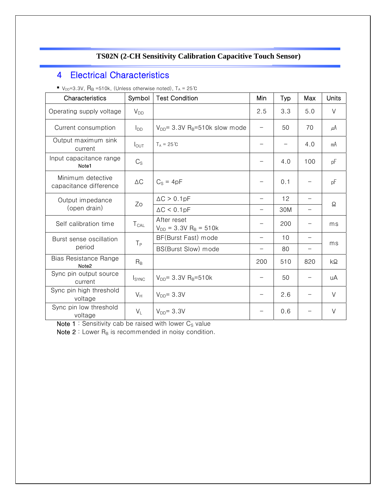# 4 Electrical Characteristics

■  $V_{DD} = 3.3V$ ,  $R_B = 510k$ , (Unless otherwise noted),  $T_A = 25°C$ 

| Symbol<br><b>Test Condition</b><br>Characteristics |                          | Min                                            | Typ                      | Max               | <b>Units</b>             |         |
|----------------------------------------------------|--------------------------|------------------------------------------------|--------------------------|-------------------|--------------------------|---------|
| Operating supply voltage                           | $V_{DD}$                 |                                                | 2.5                      | 3.3               | 5.0                      | $\vee$  |
| Current consumption                                | $I_{DD}$                 | $V_{DD}$ = 3.3V R <sub>B</sub> =510k slow mode |                          | 50                | 70                       | $\mu$ A |
| Output maximum sink<br>current                     | $I_{\text{OUT}}$         | $T_A = 25^{\circ}C$                            |                          | $\qquad \qquad -$ | 4.0                      | mA      |
| Input capacitance range<br>Note1                   | $C_{\rm S}$              |                                                |                          | 4.0               | 100                      | pF      |
| Minimum detective<br>capacitance difference        | $\Delta C$               | $C_S = 4pF$                                    |                          | 0.1               |                          | pF      |
| Output impedance                                   | Zo                       | $\Delta C > 0.1pF$                             |                          | 12                |                          | Ω       |
| (open drain)                                       |                          | $\Delta C < 0.1pF$                             |                          | 30M               | $\qquad \qquad -$        |         |
| Self calibration time                              | $T_{CAL}$                | After reset<br>$V_{DD} = 3.3V R_B = 510k$      |                          | 200               | $\overline{\phantom{0}}$ | ms      |
| Burst sense oscillation                            | $T_{P}$                  | BF(Burst Fast) mode                            |                          | 10                |                          |         |
| period                                             |                          | BS(Burst Slow) mode                            | $\qquad \qquad -$        | 80                | $\qquad \qquad -$        | ms      |
| Bias Resistance Range<br>Note <sub>2</sub>         | $R_B$                    |                                                | 200                      | 510               | 820                      | kΩ      |
| Sync pin output source<br>current                  | <b>I</b> <sub>SYNC</sub> | $V_{DD}$ = 3.3V R <sub>B</sub> =510k           |                          | 50                |                          | uA      |
| Sync pin high threshold<br>voltage                 | $V_H$                    | $V_{DD} = 3.3V$                                | $\overline{\phantom{0}}$ | 2.6               |                          | $\vee$  |
| Sync pin low threshold<br>voltage                  | $V_L$                    | $V_{DD} = 3.3V$                                |                          | 0.6               |                          | $\vee$  |

Note 1 : Sensitivity cab be raised with lower  $C_S$  value

Note  $2:$  Lower  $R_B$  is recommended in noisy condition.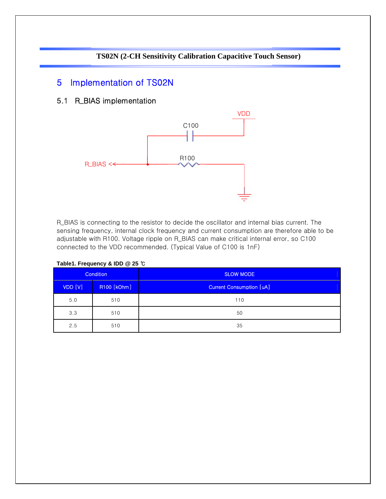### 5 Implementation of TS02N

### 5.1 R\_BIAS implementation



R\_BIAS is connecting to the resistor to decide the oscillator and internal bias current. The sensing frequency, internal clock frequency and current consumption are therefore able to be adjustable with R100. Voltage ripple on R\_BIAS can make critical internal error, so C100 connected to the VDD recommended. (Typical Value of C100 is 1nF)

| <b>Condition</b>       |     | <b>SLOW MODE</b>                |
|------------------------|-----|---------------------------------|
| VDD [V]<br>R100 [kOhm] |     | <b>Current Consumption [uA]</b> |
| 5.0                    | 510 | 110                             |
| 3.3                    | 510 | 50                              |
| 2.5                    | 510 | 35                              |

**Table1. Frequency & IDD @ 25** ℃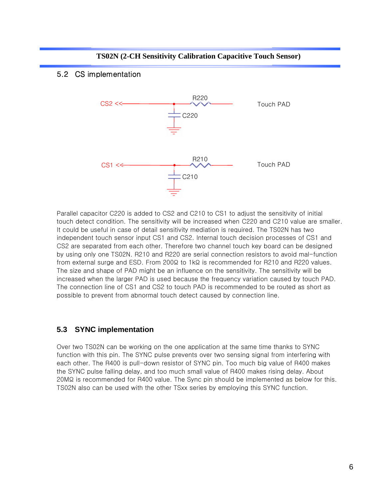**TS02N (2-CH Sensitivity Calibration Capacitive Touch Sensor)**

### 5.2 CS implementation



Parallel capacitor C220 is added to CS2 and C210 to CS1 to adjust the sensitivity of initial touch detect condition. The sensitivity will be increased when C220 and C210 value are smaller. It could be useful in case of detail sensitivity mediation is required. The TS02N has two independent touch sensor input CS1 and CS2. Internal touch decision processes of CS1 and CS2 are separated from each other. Therefore two channel touch key board can be designed by using only one TS02N. R210 and R220 are serial connection resistors to avoid mal-function from external surge and ESD. From 200Ω to 1kΩ is recommended for R210 and R220 values. The size and shape of PAD might be an influence on the sensitivity. The sensitivity will be increased when the larger PAD is used because the frequency variation caused by touch PAD. The connection line of CS1 and CS2 to touch PAD is recommended to be routed as short as possible to prevent from abnormal touch detect caused by connection line.

### **5.3 SYNC implementation**

Over two TS02N can be working on the one application at the same time thanks to SYNC function with this pin. The SYNC pulse prevents over two sensing signal from interfering with each other. The R400 is pull-down resistor of SYNC pin. Too much big value of R400 makes the SYNC pulse falling delay, and too much small value of R400 makes rising delay. About 20MΩ is recommended for R400 value. The Sync pin should be implemented as below for this. TS02N also can be used with the other TSxx series by employing this SYNC function.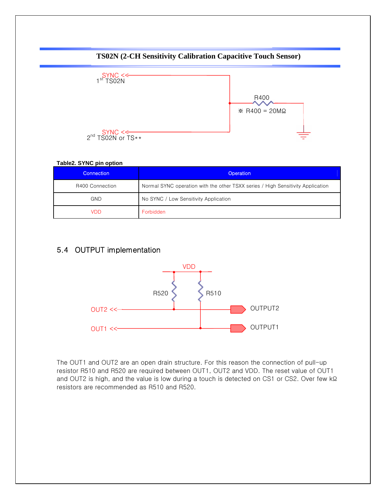

#### **Table2. SYNC pin option**

| Connection <b>\</b> | <b>Operation</b>                                                                |
|---------------------|---------------------------------------------------------------------------------|
| R400 Connection     | Normal SYNC operation with the other TSXX series / High Sensitivity Application |
| <b>GND</b>          | No SYNC / Low Sensitivity Application                                           |
| VDD                 | Forbidden                                                                       |

### 5.4 OUTPUT implementation



The OUT1 and OUT2 are an open drain structure. For this reason the connection of pull-up resistor R510 and R520 are required between OUT1, OUT2 and VDD. The reset value of OUT1 and OUT2 is high, and the value is low during a touch is detected on CS1 or CS2. Over few kΩ resistors are recommended as R510 and R520.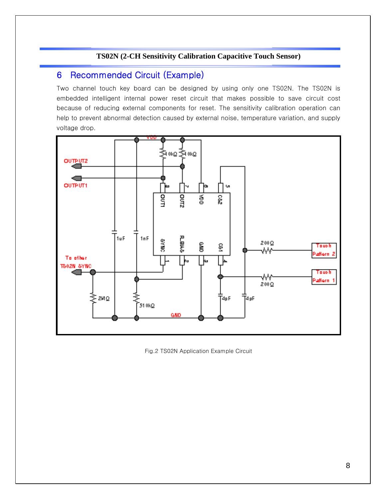## 6 Recommended Circuit (Example)

Two channel touch key board can be designed by using only one TS02N. The TS02N is embedded intelligent internal power reset circuit that makes possible to save circuit cost because of reducing external components for reset. The sensitivity calibration operation can help to prevent abnormal detection caused by external noise, temperature variation, and supply voltage drop.



Fig.2 TS02N Application Example Circuit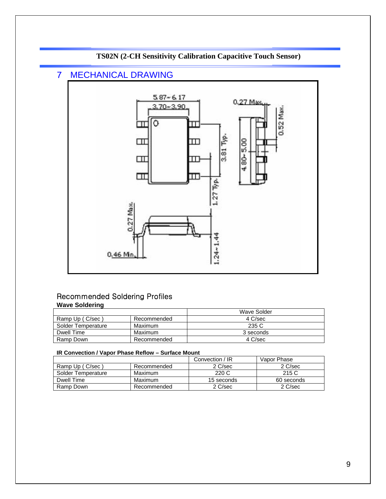

### 7 MECHANICAL DRAWING



### Recommended Soldering Profiles **Wave Soldering**

|                    |             | Wave Solder |
|--------------------|-------------|-------------|
| Ramp Up (C/sec)    | Recommended | 4 C/sec     |
| Solder Temperature | Maximum     | 235 C       |
| Dwell Time         | Maximum     | 3 seconds   |
| Ramp Down          | Recommended | 4 C/sec     |

#### **IR Convection / Vapor Phase Reflow – Surface Mount**

|                    |             | Convection / IR | Vapor Phase |
|--------------------|-------------|-----------------|-------------|
| Ramp Up (C/sec)    | Recommended | 2 C/sec         | 2 C/sec     |
| Solder Temperature | Maximum     | 220 C           | 215 C       |
| Dwell Time         | Maximum     | 15 seconds      | 60 seconds  |
| Ramp Down          | Recommended | 2 C/sec         | 2 C/sec     |